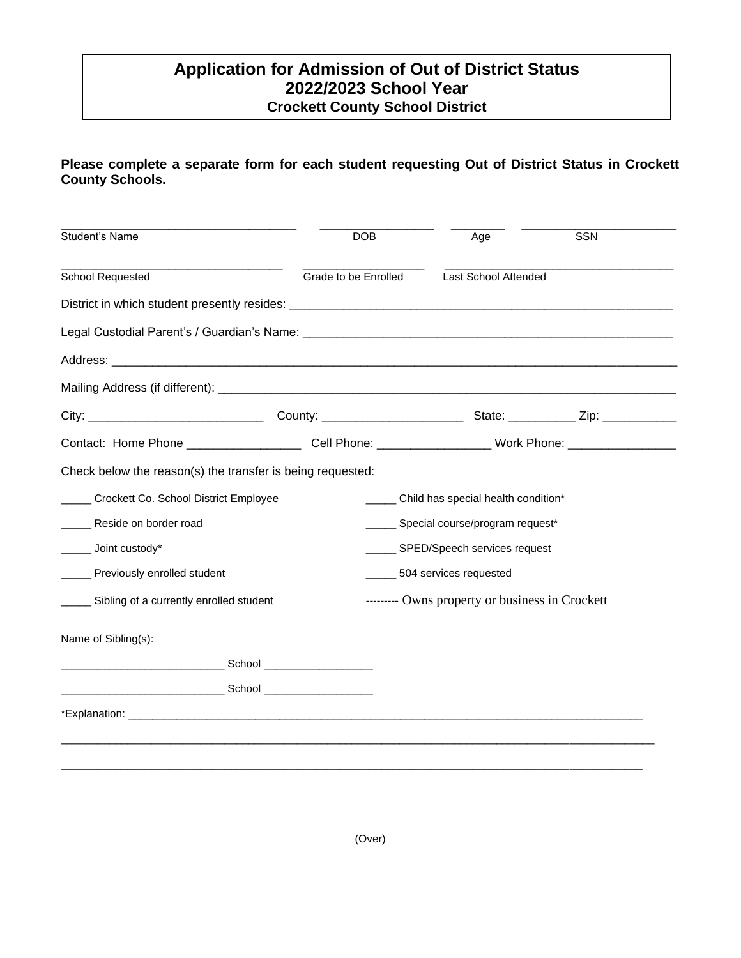## 202020 **Crockett County School DistrictApplication for Admission of Out of District Status 2022/2023 School Year**

## **Please complete a separate form for each student requesting Out of District Status in Crockett County Schools.**

| Student's Name                                             | <b>DOB</b>           | Age                                                                                                            | <b>SSN</b> |  |
|------------------------------------------------------------|----------------------|----------------------------------------------------------------------------------------------------------------|------------|--|
| <b>School Requested</b>                                    | Grade to be Enrolled | Last School Attended                                                                                           |            |  |
|                                                            |                      |                                                                                                                |            |  |
|                                                            |                      |                                                                                                                |            |  |
|                                                            |                      |                                                                                                                |            |  |
|                                                            |                      |                                                                                                                |            |  |
|                                                            |                      |                                                                                                                |            |  |
|                                                            |                      | Contact: Home Phone _________________________Cell Phone: __________________Work Phone: _______________________ |            |  |
| Check below the reason(s) the transfer is being requested: |                      |                                                                                                                |            |  |
| Crockett Co. School District Employee                      |                      | ______ Child has special health condition*                                                                     |            |  |
| Reside on border road                                      |                      | _____ Special course/program request*                                                                          |            |  |
| Joint custody*                                             |                      | ______ SPED/Speech services request                                                                            |            |  |
| Previously enrolled student                                |                      | ______ 504 services requested                                                                                  |            |  |
| ______ Sibling of a currently enrolled student             |                      | --------- Owns property or business in Crockett                                                                |            |  |
| Name of Sibling(s):                                        |                      |                                                                                                                |            |  |
|                                                            |                      |                                                                                                                |            |  |
|                                                            |                      |                                                                                                                |            |  |
|                                                            |                      |                                                                                                                |            |  |